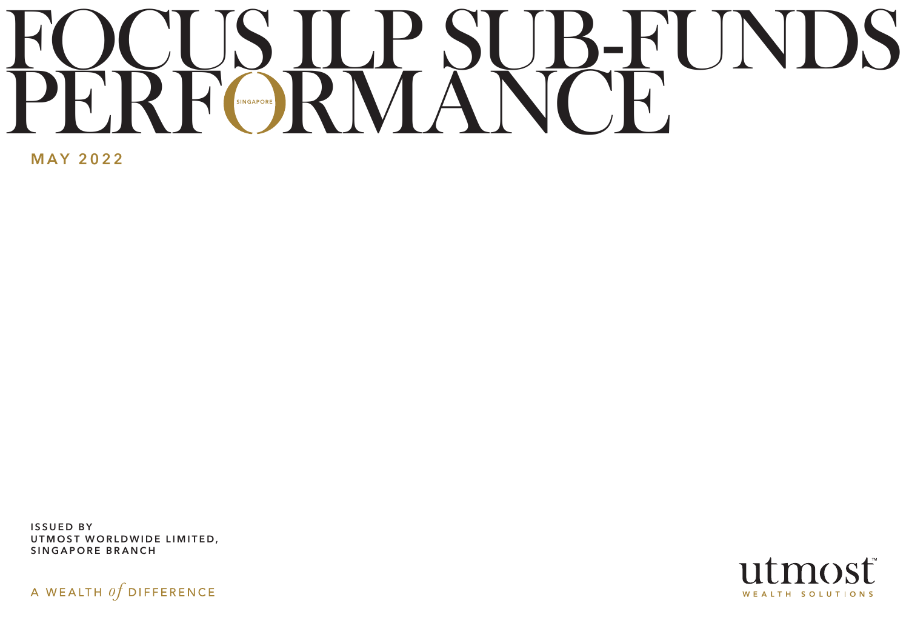# FOCUS ILP SUB-FUNDS PERF RMANCE **SINGAPORE**

MAY 2022

ISSUED BY UTMOST WORLDWIDE LIMITED, SINGAPORE BRANCH

A WEALTH  $of$  DIFFERENCE

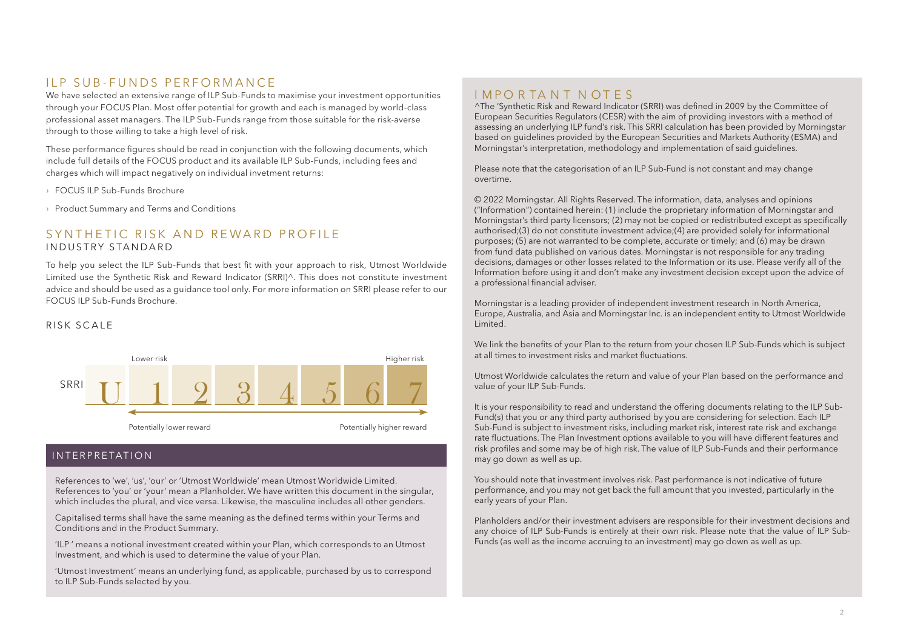### II P SUB-FUNDS PERFORMANCE

We have selected an extensive range of ILP Sub-Funds to maximise your investment opportunities through your FOCUS Plan. Most offer potential for growth and each is managed by world-class professional asset managers. The ILP Sub-Funds range from those suitable for the risk-averse through to those willing to take a high level of risk.

These performance figures should be read in conjunction with the following documents, which include full details of the FOCUS product and its available ILP Sub-Funds, including fees and charges which will impact negatively on individual invetment returns:

- › FOCUS ILP Sub-Funds Brochure
- › Product Summary and Terms and Conditions

### SYNTHETIC RISK AND REWARD PROFILE INDUSTRY STANDARD

To help you select the ILP Sub-Funds that best fit with your approach to risk, Utmost Worldwide Limited use the Synthetic Risk and Reward Indicator (SRRI)^. This does not constitute investment advice and should be used as a guidance tool only. For more information on SRRI please refer to our FOCUS ILP Sub-Funds Brochure.

### RISK SCALE



### INTERPRETATION

References to 'we', 'us', 'our' or 'Utmost Worldwide' mean Utmost Worldwide Limited. References to 'you' or 'your' mean a Planholder. We have written this document in the singular, which includes the plural, and vice versa. Likewise, the masculine includes all other genders.

Capitalised terms shall have the same meaning as the defined terms within your Terms and Conditions and in the Product Summary.

'ILP ' means a notional investment created within your Plan, which corresponds to an Utmost Investment, and which is used to determine the value of your Plan.

'Utmost Investment' means an underlying fund, as applicable, purchased by us to correspond to ILP Sub-Funds selected by you.

### I MPO R TA N T N OT F S

^The 'Synthetic Risk and Reward Indicator (SRRI) was defined in 2009 by the Committee of European Securities Regulators (CESR) with the aim of providing investors with a method of assessing an underlying ILP fund's risk. This SRRI calculation has been provided by Morningstar based on guidelines provided by the European Securities and Markets Authority (ESMA) and Morningstar's interpretation, methodology and implementation of said guidelines.

Please note that the categorisation of an ILP Sub-Fund is not constant and may change overtime.

© 2022 Morningstar. All Rights Reserved. The information, data, analyses and opinions ("Information") contained herein: (1) include the proprietary information of Morningstar and Morningstar's third party licensors; (2) may not be copied or redistributed except as specifically authorised;(3) do not constitute investment advice;(4) are provided solely for informational purposes; (5) are not warranted to be complete, accurate or timely; and (6) may be drawn from fund data published on various dates. Morningstar is not responsible for any trading decisions, damages or other losses related to the Information or its use. Please verify all of the Information before using it and don't make any investment decision except upon the advice of a professional financial adviser.

Morningstar is a leading provider of independent investment research in North America, Europe, Australia, and Asia and Morningstar Inc. is an independent entity to Utmost Worldwide Limited.

We link the benefits of your Plan to the return from your chosen ILP Sub-Funds which is subject at all times to investment risks and market fluctuations.

Utmost Worldwide calculates the return and value of your Plan based on the performance and value of your ILP Sub-Funds.

It is your responsibility to read and understand the offering documents relating to the ILP Sub-Fund(s) that you or any third party authorised by you are considering for selection. Each ILP Sub-Fund is subject to investment risks, including market risk, interest rate risk and exchange rate fluctuations. The Plan Investment options available to you will have different features and risk profiles and some may be of high risk. The value of ILP Sub-Funds and their performance may go down as well as up.

You should note that investment involves risk. Past performance is not indicative of future performance, and you may not get back the full amount that you invested, particularly in the early years of your Plan.

Planholders and/or their investment advisers are responsible for their investment decisions and any choice of ILP Sub-Funds is entirely at their own risk. Please note that the value of ILP Sub-Funds (as well as the income accruing to an investment) may go down as well as up.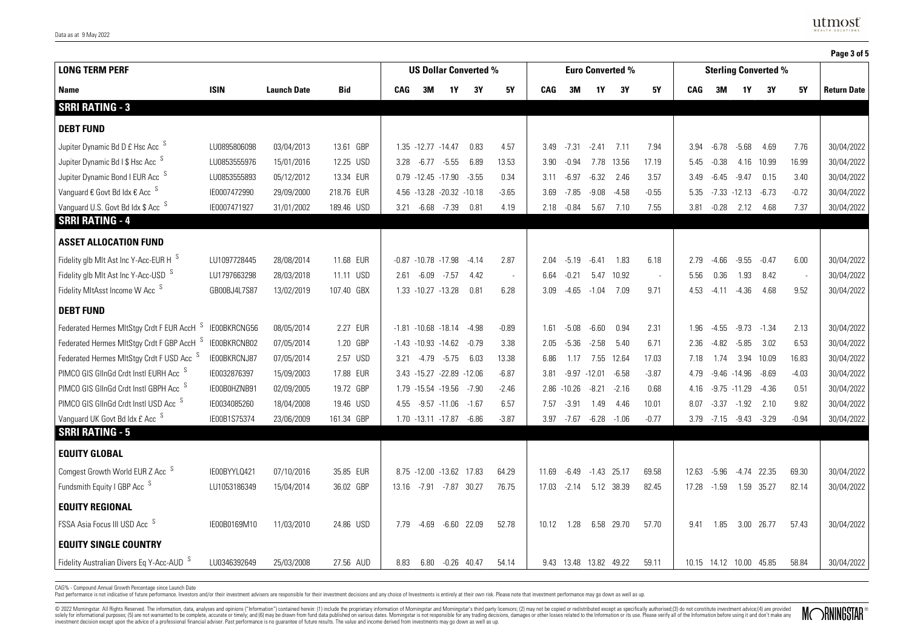|                                                      |              |                    |            |                              |                        |                                |         |                          |       |                         |                 |                             |         |       |         |                         |            |                          | Page 3 of 5        |
|------------------------------------------------------|--------------|--------------------|------------|------------------------------|------------------------|--------------------------------|---------|--------------------------|-------|-------------------------|-----------------|-----------------------------|---------|-------|---------|-------------------------|------------|--------------------------|--------------------|
| <b>LONG TERM PERF</b>                                |              |                    |            | <b>US Dollar Converted %</b> |                        |                                |         |                          |       | <b>Euro Converted %</b> |                 | <b>Sterling Converted %</b> |         |       |         |                         |            |                          |                    |
| Name                                                 | <b>ISIN</b>  | <b>Launch Date</b> | Bid        | CAG                          | 3M                     | 1Y                             | 3Y      | 5Υ                       | CAG   | 3M                      | 1Y              | 3Y                          | 5Υ      | CAG   | 3M      | 1Υ                      | 3Υ         | 5Υ                       | <b>Return Date</b> |
| <b>SRRI RATING - 3</b>                               |              |                    |            |                              |                        |                                |         |                          |       |                         |                 |                             |         |       |         |                         |            |                          |                    |
| <b>DEBT FUND</b>                                     |              |                    |            |                              |                        |                                |         |                          |       |                         |                 |                             |         |       |         |                         |            |                          |                    |
| Jupiter Dynamic Bd D £ Hsc Acc S                     | LU0895806098 | 03/04/2013         | 13.61 GBP  |                              | 1.35 -12.77 -14.47     |                                | 0.83    | 4.57                     | 3.49  | -7.31                   | $-2.41$         | 7.11                        | 7.94    | 3.94  | $-6.78$ | $-5.68$                 | 4.69       | 7.76                     | 30/04/2022         |
| Jupiter Dynamic Bd I \$ Hsc Acc S                    | LU0853555976 | 15/01/2016         | 12.25 USD  | 3.28                         |                        | $-6.77 -5.55$                  | 6.89    | 13.53                    | 3.90  | $-0.94$                 |                 | 7.78 13.56                  | 17.19   | 5.45  | $-0.38$ | 4.16                    | 10.99      | 16.99                    | 30/04/2022         |
| Jupiter Dynamic Bond I EUR Acc S                     | LU0853555893 | 05/12/2012         | 13.34 EUR  |                              | $0.79 - 12.45 - 17.90$ |                                | $-3.55$ | 0.34                     | 3.11  | $-6.97$                 | $-6.32$         | 2.46                        | 3.57    | 3.49  | $-6.45$ | $-9.47$                 | 0.15       | 3.40                     | 30/04/2022         |
| Vanguard € Govt Bd Idx € Acc S                       | IE0007472990 | 29/09/2000         | 218.76 EUR |                              |                        | 4.56 -13.28 -20.32 -10.18      |         | $-3.65$                  | 3.69  | -7.85                   | $-9.08$         | $-4.58$                     | $-0.55$ | 5.35  |         | $-7.33 - 12.13$         | $-6.73$    | $-0.72$                  | 30/04/2022         |
| Vanguard U.S. Govt Bd Idx \$ Acc S                   | IE0007471927 | 31/01/2002         | 189.46 USD | 3.21                         | -6.68                  | $-7.39$                        | 0.81    | 4.19                     | 2.18  | $-0.84$                 | 5.67            | 7.10                        | 7.55    | 3.81  | $-0.28$ | 2.12                    | 4.68       | 7.37                     | 30/04/2022         |
| <b>SRRI RATING - 4</b>                               |              |                    |            |                              |                        |                                |         |                          |       |                         |                 |                             |         |       |         |                         |            |                          |                    |
| <b>ASSET ALLOCATION FUND</b>                         |              |                    |            |                              |                        |                                |         |                          |       |                         |                 |                             |         |       |         |                         |            |                          |                    |
| Fidelity glb Mlt Ast Inc Y-Acc-EUR H S               | LU1097728445 | 28/08/2014         | 11.68 EUR  | $-0.87$                      | $-10.78 - 17.98$       |                                | $-4.14$ | 2.87                     | 2.04  | $-5.19$                 | $-6.41$         | 1.83                        | 6.18    | 2.79  | $-4.66$ | $-9.55$                 | $-0.47$    | 6.00                     | 30/04/2022         |
| Fidelity glb Mlt Ast Inc Y-Acc-USD S                 | LU1797663298 | 28/03/2018         | 11.11 USD  | 2.61                         | $-6.09$                | $-7.57$                        | 4.42    | $\overline{\phantom{a}}$ | 6.64  | $-0.21$                 | 5.47            | 10.92                       | $\sim$  | 5.56  | 0.36    | 1.93                    | 8.42       | $\overline{\phantom{a}}$ | 30/04/2022         |
| Fidelity MItAsst Income W Acc S                      | GB00BJ4L7S87 | 13/02/2019         | 107.40 GBX |                              | 1.33 -10.27 -13.28     |                                | 0.81    | 6.28                     | 3.09  | $-4.65$                 | $-1.04$         | 7.09                        | 9.71    | 4.53  | $-4.11$ | $-4.36$                 | 4.68       | 9.52                     | 30/04/2022         |
| <b>DEBT FUND</b>                                     |              |                    |            |                              |                        |                                |         |                          |       |                         |                 |                             |         |       |         |                         |            |                          |                    |
| Federated Hermes MItStgy Crdt F EUR AccH S           | IE00BKRCNG56 | 08/05/2014         | 2.27 EUR   |                              |                        | $-1.81 - 10.68 - 18.14 - 4.98$ |         | $-0.89$                  | 1.61  | $-5.08$                 | $-6.60$         | 0.94                        | 2.31    | 1.96  | $-4.55$ | $-9.73$                 | $-1.34$    | 2.13                     | 30/04/2022         |
| Federated Hermes MItStgy Crdt F GBP AccH S           | IE00BKRCNB02 | 07/05/2014         | 1.20 GBP   |                              |                        | $-1.43 - 10.93 - 14.62 - 0.79$ |         | 3.38                     | 2.05  | $-5.36$                 | $-2.58$         | 5.40                        | 6.71    | 2.36  | $-4.82$ | $-5.85$                 | 3.02       | 6.53                     | 30/04/2022         |
| Federated Hermes MItStgy Crdt F USD Acc S            | IE00BKRCNJ87 | 07/05/2014         | 2.57 USD   | 3.21                         |                        | $-4.79 -5.75$                  | 6.03    | 13.38                    | 6.86  | 1.17                    |                 | 7.55 12.64                  | 17.03   | 7.18  | 1.74    | 3.94                    | 10.09      | 16.83                    | 30/04/2022         |
| PIMCO GIS GIInGd Crdt Instl EURH Acc S               | IE0032876397 | 15/09/2003         | 17.88 EUR  |                              |                        | 3.43 -15.27 -22.89 -12.06      |         | $-6.87$                  | 3.81  |                         | $-9.97 - 12.01$ | $-6.58$                     | $-3.87$ | 4.79  |         | $-9.46 - 14.96$         | $-8.69$    | $-4.03$                  | 30/04/2022         |
| PIMCO GIS GIInGd Crdt Instl GBPH Acc <sup>S</sup>    | IE00B0HZNB91 | 02/09/2005         | 19.72 GBP  | 1.79                         | -15.54 -19.56          |                                | $-7.90$ | $-2.46$                  | 2.86  | $-10.26$                | $-8.21$         | -2.16                       | 0.68    | 4.16  |         | $-9.75 - 11.29$         | $-4.36$    | 0.51                     | 30/04/2022         |
| PIMCO GIS GIInGd Crdt Instl USD Acc S                | IE0034085260 | 18/04/2008         | 19.46 USD  | 4.55                         |                        | $-9.57 - 11.06$                | $-1.67$ | 6.57                     | 7.57  | $-3.91$                 | 1.49            | 4.46                        | 10.01   | 8.07  | $-3.37$ | $-1.92$                 | 2.10       | 9.82                     | 30/04/2022         |
| Vanguard UK Govt Bd Idx £ Acc S                      | IE00B1S75374 | 23/06/2009         | 161.34 GBP |                              |                        | 1.70 -13.11 -17.87 -6.86       |         | $-3.87$                  | 3.97  | -7.67                   | $-6.28 - 1.06$  |                             | $-0.77$ |       |         | 3.79 -7.15 -9.43 -3.29  |            | $-0.94$                  | 30/04/2022         |
| <b>SRRI RATING - 5</b>                               |              |                    |            |                              |                        |                                |         |                          |       |                         |                 |                             |         |       |         |                         |            |                          |                    |
| <b>EQUITY GLOBAL</b>                                 |              |                    |            |                              |                        |                                |         |                          |       |                         |                 |                             |         |       |         |                         |            |                          |                    |
| Comgest Growth World EUR Z Acc S                     | IE00BYYLQ421 | 07/10/2016         | 35.85 EUR  |                              |                        | 8.75 -12.00 -13.62 17.83       |         | 64.29                    | 11.69 | $-6.49$                 | $-1.43$ 25.17   |                             | 69.58   | 12.63 | $-5.96$ | $-4.74$ 22.35           |            | 69.30                    | 30/04/2022         |
| Fundsmith Equity I GBP Acc <sup>S</sup>              | LU1053186349 | 15/04/2014         | 36.02 GBP  |                              | 13.16 -7.91            | -7.87 30.27                    |         | 76.75                    | 17.03 | -2.14                   |                 | 5.12 38.39                  | 82.45   | 17.28 | $-1.59$ | 1.59 35.27              |            | 82.14                    | 30/04/2022         |
| <b>EQUITY REGIONAL</b>                               |              |                    |            |                              |                        |                                |         |                          |       |                         |                 |                             |         |       |         |                         |            |                          |                    |
| FSSA Asia Focus III USD Acc S                        | IE00B0169M10 | 11/03/2010         | 24.86 USD  | 7.79                         | -4.69                  | $-6.60$ 22.09                  |         | 52.78                    | 10.12 | 1.28                    |                 | 6.58 29.70                  | 57.70   | 9.41  | 1.85    |                         | 3.00 26.77 | 57.43                    | 30/04/2022         |
| <b>EQUITY SINGLE COUNTRY</b>                         |              |                    |            |                              |                        |                                |         |                          |       |                         |                 |                             |         |       |         |                         |            |                          |                    |
| Fidelity Australian Divers Eq Y-Acc-AUD <sup>S</sup> | LU0346392649 | 25/03/2008         | 27.56 AUD  | 8.83                         | 6.80                   | $-0.26$ 40.47                  |         | 54.14                    | 9.43  | 13.48 13.82 49.22       |                 |                             | 59.11   |       |         | 10.15 14.12 10.00 45.85 |            | 58.84                    | 30/04/2022         |

CAG% - Compound Annual Growth Percentage since Launch Date

Past performance is not indicative of future performance. Investors and/or their investment advisers are responsible for their investment decisions and any choice of lavestinents is entirely at their own risk. Please note

© 2022 Morningstar. All Rights Reserved. The information, data, analyses and opinions ("Information") contained herein: (1) include the proprietary information of Morningstar and Morningstar's third party licensos; (2) may

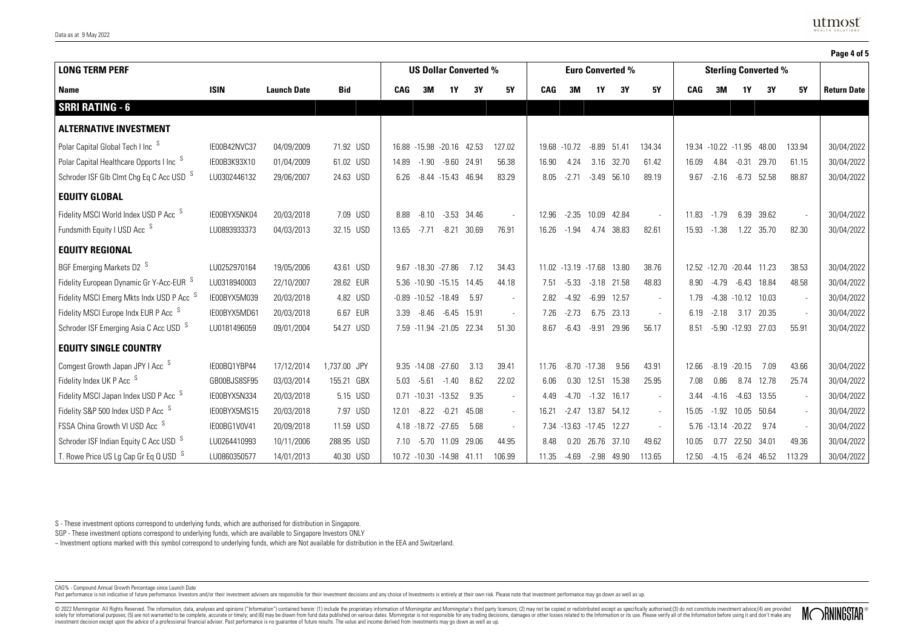|                                                      |              |                    |              |       |  |                              |                           |       |                          |            |                     |                         |                     |                          |            |                           |                       |                             |        | Page 4 of 5        |  |  |
|------------------------------------------------------|--------------|--------------------|--------------|-------|--|------------------------------|---------------------------|-------|--------------------------|------------|---------------------|-------------------------|---------------------|--------------------------|------------|---------------------------|-----------------------|-----------------------------|--------|--------------------|--|--|
| <b>LONG TERM PERF</b>                                |              |                    |              |       |  | <b>US Dollar Converted %</b> |                           |       |                          |            |                     | <b>Euro Converted %</b> |                     |                          |            |                           |                       | <b>Sterling Converted %</b> |        |                    |  |  |
| Name                                                 | <b>ISIN</b>  | <b>Launch Date</b> | Bid          | CAG   |  | 3M                           | 1Y                        | 3Υ    | 5Υ                       | <b>CAG</b> | 3M                  | 1Υ                      | 3Υ                  | 5Υ                       | <b>CAG</b> | 3M                        | 1Υ                    | 3Υ                          | 5Υ     | <b>Return Date</b> |  |  |
| <b>SRRI RATING - 6</b>                               |              |                    |              |       |  |                              |                           |       |                          |            |                     |                         |                     |                          |            |                           |                       |                             |        |                    |  |  |
| <b>ALTERNATIVE INVESTMENT</b>                        |              |                    |              |       |  |                              |                           |       |                          |            |                     |                         |                     |                          |            |                           |                       |                             |        |                    |  |  |
| Polar Capital Global Tech I Inc <sup>S</sup>         | IE00B42NVC37 | 04/09/2009         | 71.92 USD    |       |  |                              | 16.88 -15.98 -20.16 42.53 |       | 127.02                   | 19.68      | $-10.72$            | $-8.89$                 | 51.41               | 134.34                   |            | 19.34 -10.22 -11.95 48.00 |                       |                             | 133.94 | 30/04/2022         |  |  |
| Polar Capital Healthcare Opports I Inc <sup>S</sup>  | IE00B3K93X10 | 01/04/2009         | 61.02 USD    | 14.89 |  | $-1.90$                      | $-9.60$ 24.91             |       | 56.38                    | 16.90      | 4.24                | 3.16                    | 32.70               | 61.42                    | 16.09      | 4.84                      | $-0.31$               | 29.70                       | 61.15  | 30/04/2022         |  |  |
| Schroder ISF GIb Clmt Chg Eq C Acc USD <sup>S</sup>  | LU0302446132 | 29/06/2007         | 24.63 USD    | 6.26  |  |                              | $-8.44 - 15.43$ 46.94     |       | 83.29                    | 8.05       | $-2.71$             |                         | $-3.49$ 56.10       | 89.19                    | 9.67       | $-2.16$                   |                       | $-6.73$ 52.58               | 88.87  | 30/04/2022         |  |  |
| <b>EQUITY GLOBAL</b>                                 |              |                    |              |       |  |                              |                           |       |                          |            |                     |                         |                     |                          |            |                           |                       |                             |        |                    |  |  |
| Fidelity MSCI World Index USD P Acc S                | IE00BYX5NK04 | 20/03/2018         | 7.09 USD     | 8.88  |  | $-8.10$                      | $-3.53$ 34.46             |       | $\sim$                   | 12.96      |                     | $-2.35$ 10.09           | 42.84               | $\overline{\phantom{a}}$ | 11.83      | $-1.79$                   |                       | 6.39 39.62                  |        | 30/04/2022         |  |  |
| Fundsmith Equity I USD Acc <sup>S</sup>              | LU0893933373 | 04/03/2013         | 32.15 USD    | 13.65 |  | $-7.71$                      | $-8.21$                   | 30.69 | 76.91                    | 16.26      | $-1.94$             | 4.74                    | 38.83               | 82.61                    | 15.93      | $-1.38$                   |                       | 1.22 35.70                  | 82.30  | 30/04/2022         |  |  |
| <b>EQUITY REGIONAL</b>                               |              |                    |              |       |  |                              |                           |       |                          |            |                     |                         |                     |                          |            |                           |                       |                             |        |                    |  |  |
| BGF Emerging Markets D2 S                            | LU0252970164 | 19/05/2006         | 43.61 USD    | 9.67  |  | $-18.30 -27.86$              |                           | 7.12  | 34.43                    |            | 11.02 -13.19 -17.68 |                         | 13.80               | 38.76                    |            | 12.52 -12.70 -20.44 11.23 |                       |                             | 38.53  | 30/04/2022         |  |  |
| Fidelity European Dynamic Gr Y-Acc-EUR S             | LU0318940003 | 22/10/2007         | 28.62 EUR    |       |  |                              | 5.36 -10.90 -15.15 14.45  |       | 44.18                    | 7.51       | $-5.33$             | $-3.18$                 | 21.58               | 48.83                    | 8.90       | $-4.79$                   | -6.43                 | 18.84                       | 48.58  | 30/04/2022         |  |  |
| Fidelity MSCI Emerg Mkts Indx USD P Acc <sup>5</sup> | IE00BYX5M039 | 20/03/2018         | 4.82 USD     |       |  | $-0.89 - 10.52 - 18.49$      |                           | 5.97  | $\overline{\phantom{a}}$ | 2.82       | $-4.92$             | $-6.99$                 | 12.57               | $\overline{\phantom{a}}$ | 1.79       |                           | $-4.38 - 10.12$ 10.03 |                             |        | 30/04/2022         |  |  |
| Fidelity MSCI Europe Indx EUR P Acc <sup>S</sup>     | IE00BYX5MD61 | 20/03/2018         | 6.67 EUR     | 3.39  |  | $-8.46$                      | $-6.45$ 15.91             |       | $\sim$                   | 7.26       | $-2.73$             |                         | 6.75 23.13          | $\sim$                   | 6.19       | $-2.18$                   | 3.17                  | 20.35                       |        | 30/04/2022         |  |  |
| Schroder ISF Emerging Asia C Acc USD S               | LU0181496059 | 09/01/2004         | 54.27 USD    |       |  | 7.59 -11.94 -21.05           |                           | 22.34 | 51.30                    | 8.67       | $-6.43$             | $-9.91$                 | 29.96               | 56.17                    | 8.51       |                           | $-5.90 -12.93$        | 27.03                       | 55.91  | 30/04/2022         |  |  |
| <b>EQUITY SINGLE COUNTRY</b>                         |              |                    |              |       |  |                              |                           |       |                          |            |                     |                         |                     |                          |            |                           |                       |                             |        |                    |  |  |
| Comgest Growth Japan JPY I Acc S                     | IE00BQ1YBP44 | 17/12/2014         | 1,737.00 JPY |       |  | $9.35 - 14.08 - 27.60$       |                           | 3.13  | 39.41                    | 1176       |                     | $-8.70 -17.38$          | 9.56                | 43.91                    | 12.66      |                           | $-8.19 - 20.15$       | 7.09                        | 43.66  | 30/04/2022         |  |  |
| Fidelity Index UK P Acc <sup>S</sup>                 | GB00BJS8SF95 | 03/03/2014         | 155.21 GBX   | 5.03  |  | $-5.61$                      | $-1.40$                   | 8.62  | 22.02                    | 6.06       | 0.30                | 12.51                   | 15.38               | 25.95                    | 7.08       | 0.86                      | 8.74                  | 12.78                       | 25.74  | 30/04/2022         |  |  |
| Fidelity MSCI Japan Index USD P Acc S                | IE00BYX5N334 | 20/03/2018         | 5.15 USD     |       |  | $0.71 - 10.31 - 13.52$       |                           | 9.35  | $\sim$                   | 4.49       |                     |                         | $-4.70 -1.32 16.17$ | $\overline{\phantom{a}}$ | 3.44       | -4.16                     | $-4.63$               | 13.55                       |        | 30/04/2022         |  |  |
| Fidelity S&P 500 Index USD P Acc S                   | IE00BYX5MS15 | 20/03/2018         | 7.97 USD     | 12.01 |  | $-8.22$                      | $-0.21$                   | 45.08 | $\sim$                   | 16.21      | $-2.47$             | 13.87                   | 54.12               | $\overline{\phantom{a}}$ | 15.05      | $-1.92$                   | 10.05                 | 50.64                       |        | 30/04/2022         |  |  |
| FSSA China Growth VI USD Acc S                       | IE00BG1V0V41 | 20/09/2018         | 11.59 USD    |       |  | 4.18 -18.72 -27.65           |                           | 5.68  | $\sim$                   | 7.34       | $-13.63 - 17.45$    |                         | 12.27               | $\sim$                   |            | 5.76 -13.14 -20.22        |                       | 9.74                        |        | 30/04/2022         |  |  |
| Schroder ISF Indian Equity C Acc USD <sup>S</sup>    | LU0264410993 | 10/11/2006         | 288.95 USD   | 7.10  |  | $-5.70$                      | 11.09                     | 29.06 | 44.95                    | 8.48       | 0.20                | 26.76                   | 37.10               | 49.62                    | 10.05      | 0.77                      | 22.50                 | 34.01                       | 49.36  | 30/04/2022         |  |  |
| T. Rowe Price US Lg Cap Gr Eq $Q$ USD $S$            | LU0860350577 | 14/01/2013         | 40.30 USD    |       |  |                              | 10.72 -10.30 -14.98 41.11 |       | 106.99                   | 11.35      | -4.69               | -2.98                   | 49.90               | 113.65                   | 12.50      | -4.15                     |                       | $-6.24$ $46.52$             | 113.29 | 30/04/2022         |  |  |

S - These investment options correspond to underlying funds, which are authorised for distribution in Singapore.

SGP - These investment options correspond to underlying funds, which are available to Singapore Investors ONLY

~ Investment options marked with this symbol correspond to underlying funds, which are Not available for distribution in the EEA and Switzerland.

CAG% - Compound Annual Growth Percentage since Launch Date

Past performance is not indicative of future performance. Investors and/or their investment advisers are responsible for their investment decisions and any choice of lavestinents is entirely at their own risk. Please note

© 2022 Morningstar. All Rights Reserved. The information, data, analyses and opinions ("Information") contained herein: (1) include the proprietary information of Morningstar and Morningstar's third party licensos; (2) may